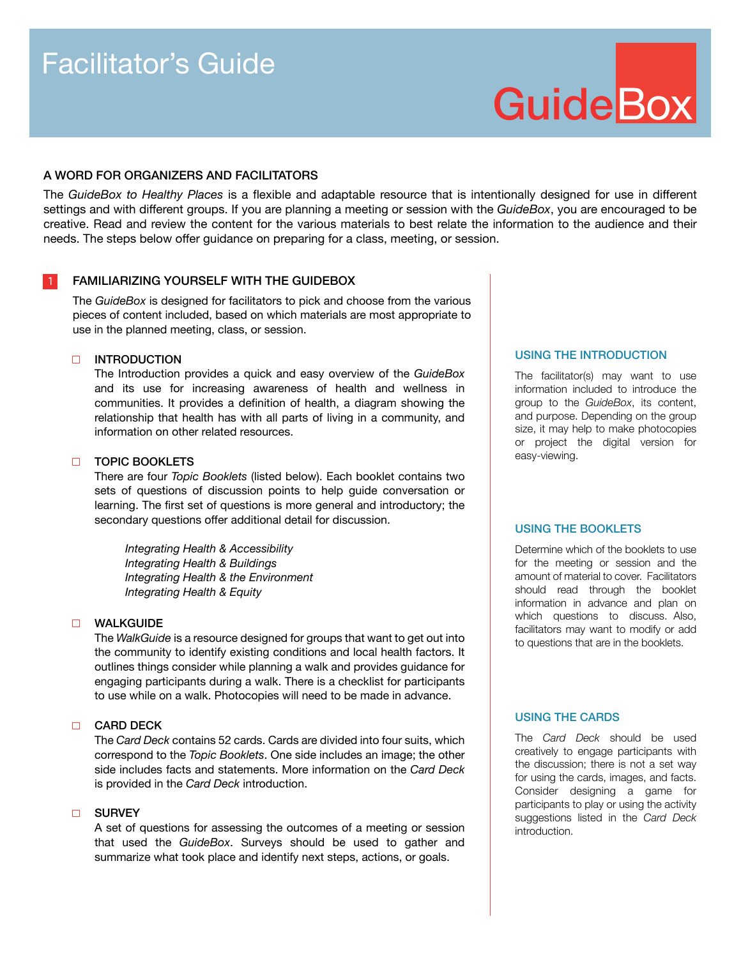# Facilitator's Guide

# **GuideBox**

# A WORD FOR ORGANIZERS AND FACILITATORS

The *GuideBox to Healthy Places* is a flexible and adaptable resource that is intentionally designed for use in different settings and with different groups. If you are planning a meeting or session with the *GuideBox*, you are encouraged to be creative. Read and review the content for the various materials to best relate the information to the audience and their needs. The steps below offer guidance on preparing for a class, meeting, or session.

# FAMILIARIZING YOURSELF WITH THE GUIDEBOX

The *GuideBox* is designed for facilitators to pick and choose from the various pieces of content included, based on which materials are most appropriate to use in the planned meeting, class, or session.

# INTRODUCTION

The Introduction provides a quick and easy overview of the *GuideBox* and its use for increasing awareness of health and wellness in communities. It provides a definition of health, a diagram showing the relationship that health has with all parts of living in a community, and information on other related resources.

# **D** TOPIC BOOKLETS

There are four *Topic Booklets* (listed below). Each booklet contains two sets of questions of discussion points to help guide conversation or learning. The first set of questions is more general and introductory; the secondary questions offer additional detail for discussion.

*Integrating Health & Accessibility Integrating Health & Buildings Integrating Health & the Environment Integrating Health & Equity*

## WALKGUIDE

The *WalkGuide* is a resource designed for groups that want to get out into the community to identify existing conditions and local health factors. It outlines things consider while planning a walk and provides guidance for engaging participants during a walk. There is a checklist for participants to use while on a walk. Photocopies will need to be made in advance.

# **CARD DECK**

The *Card Deck* contains 52 cards. Cards are divided into four suits, which correspond to the *Topic Booklets*. One side includes an image; the other side includes facts and statements. More information on the *Card Deck*  is provided in the *Card Deck* introduction.

# **D** SURVEY

A set of questions for assessing the outcomes of a meeting or session that used the *GuideBox*. Surveys should be used to gather and summarize what took place and identify next steps, actions, or goals.

# USING THE INTRODUCTION

The facilitator(s) may want to use information included to introduce the group to the *GuideBox*, its content, and purpose. Depending on the group size, it may help to make photocopies or project the digital version for easy-viewing.

### USING THE BOOKLETS

Determine which of the booklets to use for the meeting or session and the amount of material to cover. Facilitators should read through the booklet information in advance and plan on which questions to discuss. Also, facilitators may want to modify or add to questions that are in the booklets.

# USING THE CARDS

The *Card Deck* should be used creatively to engage participants with the discussion; there is not a set way for using the cards, images, and facts. Consider designing a game for participants to play or using the activity suggestions listed in the *Card Deck*  introduction.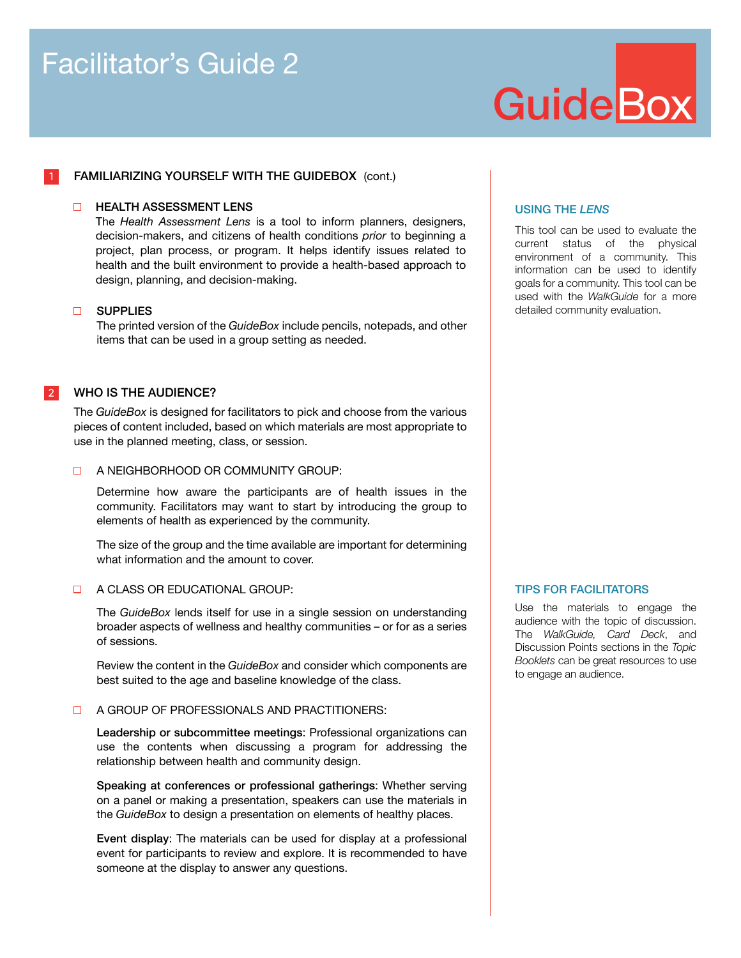# Facilitator's Guide 2

# **GuideBox**

# FAMILIARIZING YOURSELF WITH THE GUIDEBOX (cont.)

## **E HEALTH ASSESSMENT LENS**

The *Health Assessment Lens* is a tool to inform planners, designers, decision-makers, and citizens of health conditions *prior* to beginning a project, plan process, or program. It helps identify issues related to health and the built environment to provide a health-based approach to design, planning, and decision-making.

### **D** SUPPLIES

1

The printed version of the *GuideBox* include pencils, notepads, and other items that can be used in a group setting as needed.

#### WHO IS THE AUDIENCE? 2

The *GuideBox* is designed for facilitators to pick and choose from the various pieces of content included, based on which materials are most appropriate to use in the planned meeting, class, or session.

# **A NEIGHBORHOOD OR COMMUNITY GROUP:**

Determine how aware the participants are of health issues in the community. Facilitators may want to start by introducing the group to elements of health as experienced by the community.

The size of the group and the time available are important for determining what information and the amount to cover.

# **EDUCATIONAL GROUP:**

The *GuideBox* lends itself for use in a single session on understanding broader aspects of wellness and healthy communities – or for as a series of sessions.

Review the content in the *GuideBox* and consider which components are best suited to the age and baseline knowledge of the class.

### **D** A GROUP OF PROFESSIONALS AND PRACTITIONERS:

Leadership or subcommittee meetings: Professional organizations can use the contents when discussing a program for addressing the relationship between health and community design.

Speaking at conferences or professional gatherings: Whether serving on a panel or making a presentation, speakers can use the materials in the *GuideBox* to design a presentation on elements of healthy places.

Event display: The materials can be used for display at a professional event for participants to review and explore. It is recommended to have someone at the display to answer any questions.

# USING THE *LENS*

This tool can be used to evaluate the current status of the physical environment of a community. This information can be used to identify goals for a community. This tool can be used with the *WalkGuide* for a more detailed community evaluation.

# TIPS FOR FACILITATORS

Use the materials to engage the audience with the topic of discussion. The *WalkGuide, Card Deck*, and Discussion Points sections in the *Topic Booklets* can be great resources to use to engage an audience.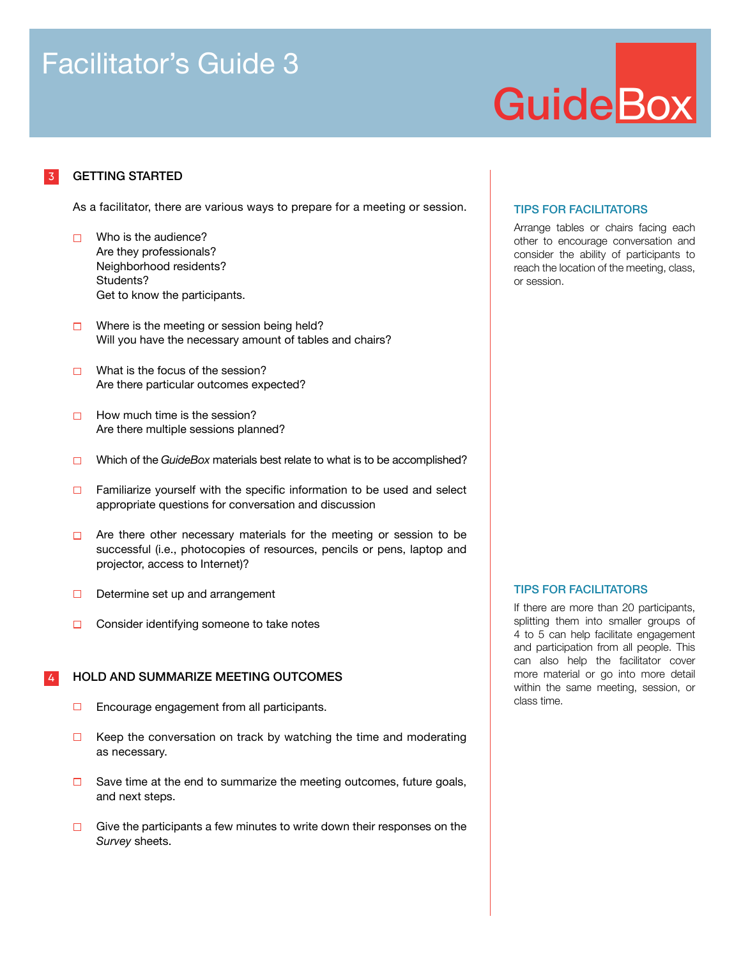# Facilitator's Guide 3

# **GuideBox**

#### GETTING STARTED 3

As a facilitator, there are various ways to prepare for a meeting or session.

- $\Box$  Who is the audience? Are they professionals? Neighborhood residents? Students? Get to know the participants.
- $\Box$  Where is the meeting or session being held? Will you have the necessary amount of tables and chairs?
- $\Box$  What is the focus of the session? Are there particular outcomes expected?
- $\Box$  How much time is the session? Are there multiple sessions planned?
- Which of the *GuideBox* materials best relate to what is to be accomplished?
- Familiarize yourself with the specific information to be used and select  $\Box$ appropriate questions for conversation and discussion
- $\Box$  Are there other necessary materials for the meeting or session to be successful (i.e., photocopies of resources, pencils or pens, laptop and projector, access to Internet)?
- $\Box$  Determine set up and arrangement
- Consider identifying someone to take notes  $\Box$

#### HOLD AND SUMMARIZE MEETING OUTCOMES 4

- $\Box$  Encourage engagement from all participants.
- $\Box$ Keep the conversation on track by watching the time and moderating as necessary.
- $\Box$  Save time at the end to summarize the meeting outcomes, future goals, and next steps.
- $\Box$  Give the participants a few minutes to write down their responses on the *Survey* sheets.

# TIPS FOR FACILITATORS

Arrange tables or chairs facing each other to encourage conversation and consider the ability of participants to reach the location of the meeting, class, or session.

# TIPS FOR FACILITATORS

If there are more than 20 participants, splitting them into smaller groups of 4 to 5 can help facilitate engagement and participation from all people. This can also help the facilitator cover more material or go into more detail within the same meeting, session, or class time.